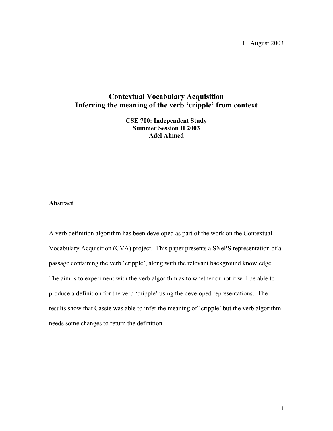11 August 2003

## **Contextual Vocabulary Acquisition Inferring the meaning of the verb 'cripple' from context**

**CSE 700: Independent Study Summer Session II 2003 Adel Ahmed** 

### **Abstract**

A verb definition algorithm has been developed as part of the work on the Contextual Vocabulary Acquisition (CVA) project. This paper presents a SNePS representation of a passage containing the verb 'cripple', along with the relevant background knowledge. The aim is to experiment with the verb algorithm as to whether or not it will be able to produce a definition for the verb 'cripple' using the developed representations. The results show that Cassie was able to infer the meaning of 'cripple' but the verb algorithm needs some changes to return the definition.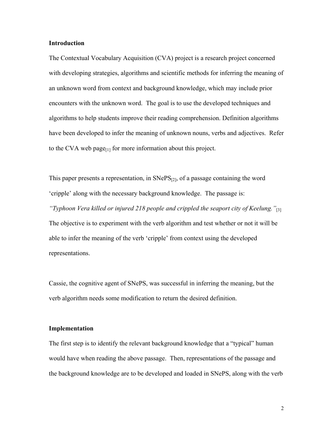#### **Introduction**

The Contextual Vocabulary Acquisition (CVA) project is a research project concerned with developing strategies, algorithms and scientific methods for inferring the meaning of an unknown word from context and background knowledge, which may include prior encounters with the unknown word. The goal is to use the developed techniques and algorithms to help students improve their reading comprehension. Definition algorithms have been developed to infer the meaning of unknown nouns, verbs and adjectives. Refer to the CVA web page $_{[1]}$  for more information about this project.

This paper presents a representation, in  $SNePS<sub>[2]</sub>$ , of a passage containing the word 'cripple' along with the necessary background knowledge. The passage is: *"Typhoon Vera killed or injured 218 people and crippled the seaport city of Keelung."*[3] The objective is to experiment with the verb algorithm and test whether or not it will be able to infer the meaning of the verb 'cripple' from context using the developed representations.

Cassie, the cognitive agent of SNePS, was successful in inferring the meaning, but the verb algorithm needs some modification to return the desired definition.

### **Implementation**

The first step is to identify the relevant background knowledge that a "typical" human would have when reading the above passage. Then, representations of the passage and the background knowledge are to be developed and loaded in SNePS, along with the verb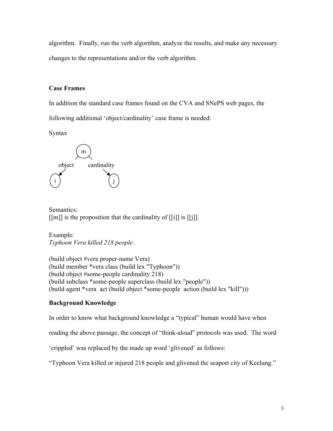algorithm. Finally, run the verb algorithm, analyze the results, and make any necessary changes to the representations and/or the verb algorithm.

## **Case Frames**

In addition the standard case frames found on the CVA and SNePS web pages, the following additional 'object/cardinality' case frame is needed:

Syntax



Semantics:  $[[m]]$  is the proposition that the cardinality of  $[[i]]$  is  $[[j]]$ .

Example: *Typhoon Vera killed 218 people.* 

(build object #vera proper-name Vera) (build member \*vera class (build lex "Typhoon")) (build object #some-people cardinality 218) (build subclass \*some-people superclass (build lex "people")) (build agent \*vera act (build object \*some-people action (build lex "kill")))

### **Background Knowledge**

In order to know what background knowledge a "typical" human would have when

reading the above passage, the concept of "think-aloud" protocols was used. The word

'crippled' was replaced by the made up word 'glivened' as follows:

"Typhoon Vera killed or injured 218 people and glivened the seaport city of Keelung."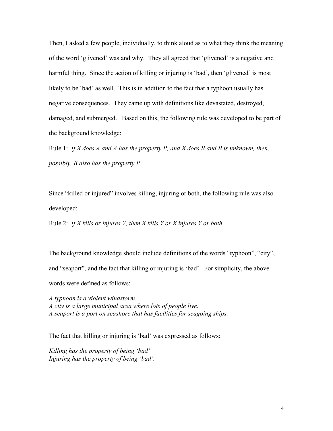Then, I asked a few people, individually, to think aloud as to what they think the meaning of the word 'glivened' was and why. They all agreed that 'glivened' is a negative and harmful thing. Since the action of killing or injuring is 'bad', then 'glivened' is most likely to be 'bad' as well. This is in addition to the fact that a typhoon usually has negative consequences. They came up with definitions like devastated, destroyed, damaged, and submerged. Based on this, the following rule was developed to be part of the background knowledge:

Rule 1: *If X does A and A has the property P, and X does B and B is unknown, then, possibly, B also has the property P.* 

Since "killed or injured" involves killing, injuring or both, the following rule was also developed:

Rule 2: *If X kills or injures Y, then X kills Y or X injures Y or both.*

The background knowledge should include definitions of the words "typhoon", "city", and "seaport", and the fact that killing or injuring is 'bad'. For simplicity, the above words were defined as follows:

*A typhoon is a violent windstorm. A city is a large municipal area where lots of people live. A seaport is a port on seashore that has facilities for seagoing ships.* 

The fact that killing or injuring is 'bad' was expressed as follows:

*Killing has the property of being 'bad' Injuring has the property of being 'bad'.*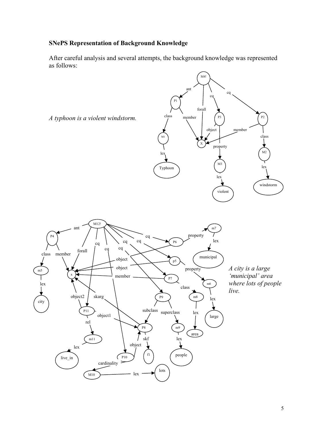## **SNePS Representation of Background Knowledge**

m5

city

After careful analysis and several attempts, the background knowledge was represented as follows:



P9

subclass superclass

lots

m9

m8

lex

area

large

↓

lex

people

 $\bigvee$ 

P8

skf

object

lex

f1

 $C_{P10}$ 

cardinality  $>$ 

M10

live\_in

m11

skarg

object1

P11

rel

object2

lex

*live.*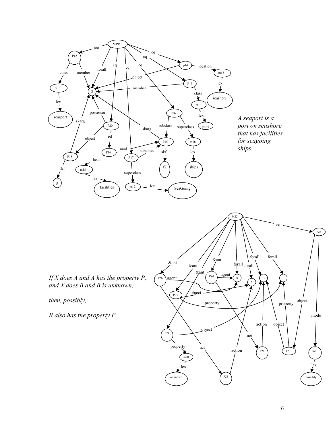

*A seaport is a port on seashore that has facilities for seagoing* 

*If X does A and A has the property P, and X does B and B is unknown,* 

*then, possibly,* 

*B also has the property P.*

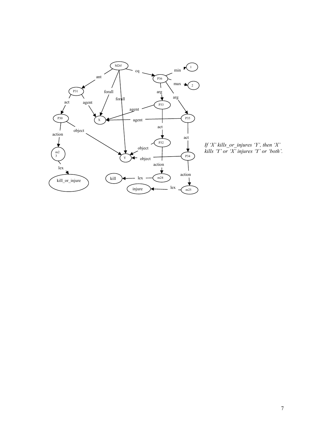

*If 'X' kills\_or\_injures 'Y', then 'X' kills 'Y' or 'X' injures 'Y' or 'both'.*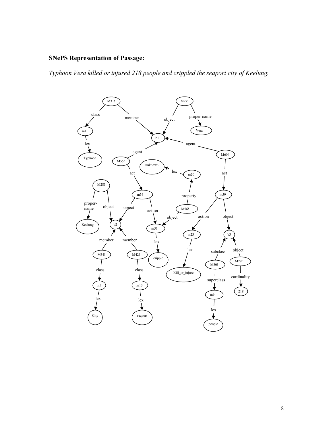## **SNePS Representation of Passage:**

*Typhoon Vera killed or injured 218 people and crippled the seaport city of Keelung.* 

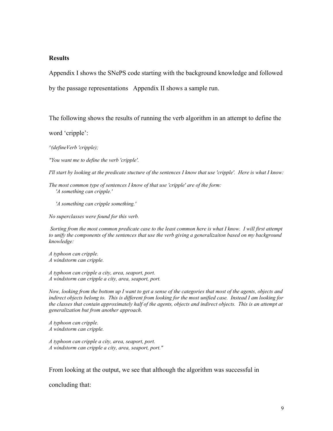### **Results**

Appendix I shows the SNePS code starting with the background knowledge and followed

by the passage representations Appendix II shows a sample run.

The following shows the results of running the verb algorithm in an attempt to define the

word 'cripple':

*^(defineVerb 'cripple);* 

*"You want me to define the verb 'cripple'.* 

*I'll start by looking at the predicate stucture of the sentences I know that use 'cripple'. Here is what I know:* 

*The most common type of sentences I know of that use 'cripple' are of the form: 'A something can cripple.'* 

 *'A something can cripple something.'* 

*No superclasses were found for this verb.* 

 *Sorting from the most common predicate case to the least common here is what I know. I will first attempt to unify the components of the sentences that use the verb giving a generalizaiton based on my background knowledge:* 

*A typhoon can cripple. A windstorm can cripple.* 

*A typhoon can cripple a city, area, seaport, port. A windstorm can cripple a city, area, seaport, port.* 

*Now, looking from the bottom up I want to get a sense of the categories that most of the agents, objects and indirect objects belong to. This is different from looking for the most unified case. Instead I am looking for the classes that contain approximately half of the agents, objects and indirect objects. This is an attempt at generalization but from another approach.* 

*A typhoon can cripple. A windstorm can cripple.* 

*A typhoon can cripple a city, area, seaport, port. A windstorm can cripple a city, area, seaport, port."* 

From looking at the output, we see that although the algorithm was successful in

concluding that: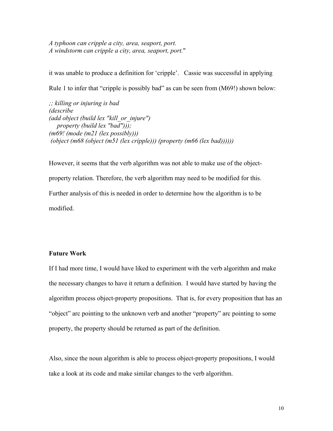*A typhoon can cripple a city, area, seaport, port. A windstorm can cripple a city, area, seaport, port.*"

it was unable to produce a definition for 'cripple'. Cassie was successful in applying Rule 1 to infer that "cripple is possibly bad" as can be seen from (M69!) shown below:

*;; killing or injuring is bad (describe (add object (build lex "kill\_or\_injure") property (build lex "bad"))); (m69! (mode (m21 (lex possibly))) (object (m68 (object (m51 (lex cripple))) (property (m66 (lex bad))))))* 

However, it seems that the verb algorithm was not able to make use of the objectproperty relation. Therefore, the verb algorithm may need to be modified for this. Further analysis of this is needed in order to determine how the algorithm is to be modified.

### **Future Work**

If I had more time, I would have liked to experiment with the verb algorithm and make the necessary changes to have it return a definition. I would have started by having the algorithm process object-property propositions. That is, for every proposition that has an "object" arc pointing to the unknown verb and another "property" arc pointing to some property, the property should be returned as part of the definition.

Also, since the noun algorithm is able to process object-property propositions, I would take a look at its code and make similar changes to the verb algorithm.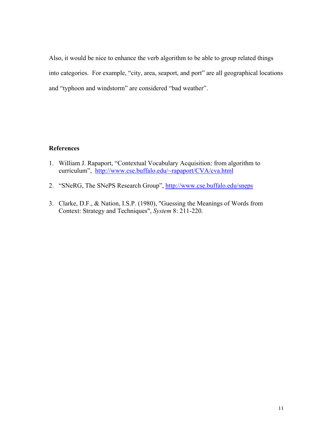Also, it would be nice to enhance the verb algorithm to be able to group related things into categories. For example, "city, area, seaport, and port" are all geographical locations and "typhoon and windstorm" are considered "bad weather".

## **References**

- 1. William J. Rapaport, "Contextual Vocabulary Acquisition: from algorithm to curriculum", http://www.cse.buffalo.edu/~rapaport/CVA/cva.html
- 2. "SNeRG, The SNePS Research Group", http://www.cse.buffalo.edu/sneps
- 3. Clarke, D.F., & Nation, I.S.P. (1980), "Guessing the Meanings of Words from Context: Strategy and Techniques", *System* 8: 211-220.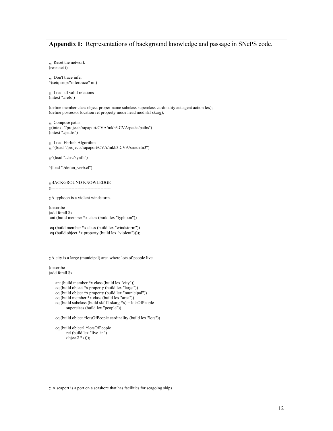# **Appendix I:** Representations of background knowledge and passage in SNePS code. ;;; Reset the network (resetnet t) ;;; Don't trace infer ^(setq snip:\*infertrace\* nil) ;;; Load all valid relations (intext "./rels") (define member class object proper-name subclass superclass cardinality act agent action lex); (define possessor location rel property mode head mod skf skarg); ;;; Compose paths ;;(intext "/projects/rapaport/CVA/mkb3.CVA/paths/paths") (intext "./paths") ;;; Load Ehrlich Algorithm ;;;^(load "/projects/rapaport/CVA/mkb3.CVA/src/defn3") ;;^(load "../src/synfn") ^(load "./defun\_verb.cl") ;;BACKGROUND KNOWLEDGE ;;----------------------------------------- ;;A typhoon is a violent windstorm. (describe (add forall \$x ant (build member \*x class (build lex "typhoon")) cq (build member \*x class (build lex "windstorm")) cq (build object \*x property (build lex "violent")))); ;;A city is a large (municipal) area where lots of people live. (describe (add forall \$x ant (build member \*x class (build lex "city")) cq (build object \*x property (build lex "large")) cq (build object \*x property (build lex "municipal")) cq (build member \*x class (build lex "area")) cq (build subclass (build skf f1 skarg \*x) = lotsOfPeople superclass (build lex "people")) cq (build object \*lotsOfPeople cardinality (build lex "lots")) cq (build object1 \*lotsOfPeople rel (build lex "live\_in") object $2 \cdot x)$ );

;; A seaport is a port on a seashore that has facilities for seagoing ships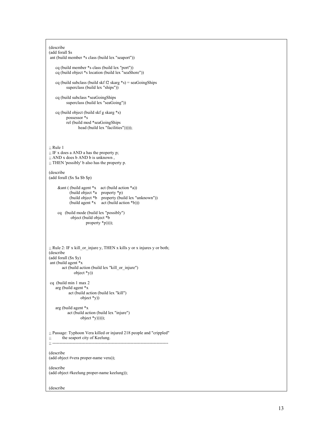```
(describe 
(add forall $s 
 ant (build member *s class (build lex "seaport")) 
    cq (build member *s class (build lex "port")) 
    cq (build object *s location (build lex "seaShore")) 
   cq (build subclass (build skf f2 skarg *s) = seaGoingShips
          superclass (build lex "ships"))
    cq (build subclass *seaGoingShips 
          superclass (build lex "seaGoing"))
    cq (build object (build skf g skarg *s) 
           possessor *s 
           rel (build mod *seaGoingShips 
                 head (build lex "facilities")))));
;; Rule 1 
;; IF x does a AND a has the property p; 
;; AND x does b AND b is unknown , 
;; THEN 'possibly' b also has the property p. 
(describe 
(add forall ($x $a $b $p) 
     \& ant ( (build agent *x act (build action *a))
 (build object *a property *p) 
 (build object *b property (build lex "unknown")) 
             (build agent *x act (build action *b))) 
 cq (build mode (build lex "possibly") 
 object (build object *b 
                     property *p))));
;; Rule 2: IF x kill_or_injure y, THEN x kills y or x injures y or both; 
(describe 
(add forall ($x $y) 
 ant (build agent *x 
        act (build action (build lex "kill_or_injure") 
               object *y)) 
 cq (build min 1 max 2 
    arg (build agent *x 
            act (build action (build lex "kill") 
                   object *y)) 
    arg (build agent *x 
           act (build action (build lex "injure") 
                  object *(y))));
;; Passage: Typhoon Vera killed or injured 218 people and "crippled" 
;; the seaport city of Keelung. 
;; -------------------------------------------------------------------------------- 
(describe 
(add object #vera proper-name vera)); 
(describe 
(add object #keelung proper-name keelung));
```
(describe

13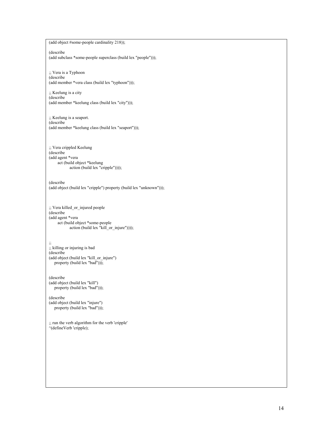(add object #some-people cardinality 218)); (describe (add subclass \*some-people superclass (build lex "people"))); ;; Vera is a Typhoon (describe (add member \*vera class (build lex "typhoon"))); ;; Keelung is a city (describe (add member \*keelung class (build lex "city"))); ;; Keelung is a seaport. (describe (add member \*keelung class (build lex "seaport"))); ;; Vera crippled Keelung (describe (add agent \*vera act (build object \*keelung action (build lex "cripple")))); (describe (add object (build lex "cripple") property (build lex "unknown"))); ;; Vera killed\_or\_injured people (describe (add agent \*vera act (build object \*some-people action (build lex "kill\_or\_injure")))); ;; ;; killing or injuring is bad (describe (add object (build lex "kill\_or\_injure") property (build lex "bad"))); (describe (add object (build lex "kill") property (build lex "bad"))); (describe (add object (build lex "injure") property (build lex "bad"))); ;; run the verb algorithm for the verb 'cripple' ^(defineVerb 'cripple);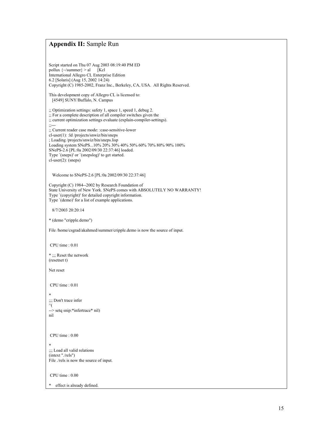### **Appendix II:** Sample Run

Script started on Thu 07 Aug 2003 08:19:40 PM ED pollux  $\{\sim\}$ /summer $\}$  > al [Kcl] International Allegro CL Enterprise Edition 6.2 [Solaris] (Aug 15, 2002 14:24) Copyright (C) 1985-2002, Franz Inc., Berkeley, CA, USA. All Rights Reserved. This development copy of Allegro CL is licensed to: [4549] SUNY/Buffalo, N. Campus ;; Optimization settings: safety 1, space 1, speed 1, debug 2. ;; For a complete description of all compiler switches given the ;; current optimization settings evaluate (explain-compiler-settings). ;;--- ;; Current reader case mode: :case-sensitive-lower cl-user(1): :ld /projects/snwiz/bin/sneps ; Loading /projects/snwiz/bin/sneps.lisp Loading system SNePS...10% 20% 30% 40% 50% 60% 70% 80% 90% 100% SNePS-2.6 [PL:0a 2002/09/30 22:37:46] loaded. Type `(sneps)' or `(snepslog)' to get started. cl-user(2): (sneps) Welcome to SNePS-2.6 [PL:0a 2002/09/30 22:37:46] Copyright (C) 1984--2002 by Research Foundation of State University of New York. SNePS comes with ABSOLUTELY NO WARRANTY! Type `(copyright)' for detailed copyright information. Type `(demo)' for a list of example applications. 8/7/2003 20:20:14 \* (demo "cripple.demo") File /home/csgrad/akahmed/summer/cripple.demo is now the source of input. CPU time : 0.01 \* ;;; Reset the network (resetnet t) Net reset CPU time : 0.01 \* ::: Don't trace infer ^( --> setq snip:\*infertrace\* nil) nil CPU time : 0.00 \* ;;; Load all valid relations (intext "./rels") File ./rels is now the source of input. CPU time : 0.00 effect is already defined.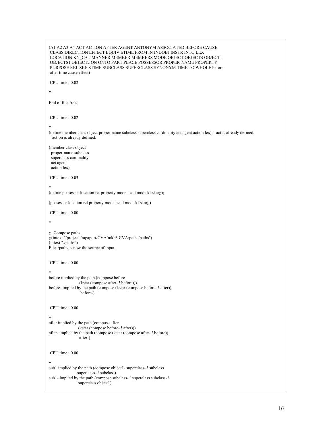```
(A1 A2 A3 A4 ACT ACTION AFTER AGENT ANTONYM ASSOCIATED BEFORE CAUSE 
 CLASS DIRECTION EFFECT EQUIV ETIME FROM IN INDOBJ INSTR INTO LEX 
 LOCATION KN_CAT MANNER MEMBER MEMBERS MODE OBJECT OBJECTS OBJECT1 
 OBJECTS1 OBJECT2 ON ONTO PART PLACE POSSESSOR PROPER-NAME PROPERTY 
 PURPOSE REL SKF STIME SUBCLASS SUPERCLASS SYNONYM TIME TO WHOLE before 
 after time cause effect) 
 CPU time : 0.02 
* 
End of file ./rels 
 CPU time : 0.02 
* 
(define member class object proper-name subclass superclass cardinality act agent action lex); act is already defined.
 action is already defined. 
(member class object 
 proper-name subclass 
  superclass cardinality 
 act agent 
 action lex) 
 CPU time : 0.03 
* 
(define possessor location rel property mode head mod skf skarg); 
(possessor location rel property mode head mod skf skarg) 
 CPU time : 0.00 
* 
;;; Compose paths 
;;(intext "/projects/rapaport/CVA/mkb3.CVA/paths/paths") 
(intext "./paths") 
File ./paths is now the source of input. 
 CPU time : 0.00 
* 
before implied by the path (compose before 
                 (kstar (compose after- ! before))) 
before- implied by the path (compose (kstar (compose before- ! after)) 
                  before-) 
 CPU time : 0.00 
* 
after implied by the path (compose after 
                (kstar (compose before- ! after))) 
after- implied by the path (compose (kstar (compose after- ! before)) 
                 after-) 
 CPU time : 0.00 
* 
sub1 implied by the path (compose object1- superclass- ! subclass 
               superclass- ! subclass)
sub1- implied by the path (compose subclass- ! superclass subclass- ! 
               superclass object1)
```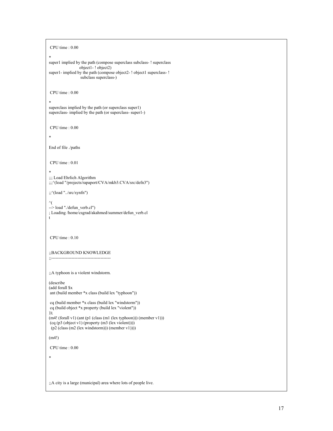```
 CPU time : 0.00 
* 
super1 implied by the path (compose superclass subclass- ! superclass 
                  object1- ! object2) 
super1- implied by the path (compose object2- ! object1 superclass- !
                   subclass superclass-) 
 CPU time : 0.00 
* 
superclass implied by the path (or superclass super1) 
superclass- implied by the path (or superclass- super1-)
 CPU time : 0.00 
* 
End of file ./paths 
 CPU time : 0.01 
* 
;;; Load Ehrlich Algorithm 
;;;^(load "/projects/rapaport/CVA/mkb3.CVA/src/defn3") 
;;^(load "../src/synfn") 
\gamma\rightarrow load "./defun verb.cl")
; Loading /home/csgrad/akahmed/summer/defun_verb.cl 
t 
 CPU time : 0.10 
;;BACKGROUND KNOWLEDGE 
;;----------------------------------------- 
;;A typhoon is a violent windstorm. 
(describe 
(add forall $x 
 ant (build member *x class (build lex "typhoon")) 
 cq (build member *x class (build lex "windstorm")) 
 cq (build object *x property (build lex "violent")) 
)); 
(m4! (for all v1) (ant (p1 (class (m1 (lex typhoon)))) (member v1)))(cq (p3 (object v1) (property (m3 (lex violent))))(p2 (class (m2 (lex windstorm))) (member v1))))
(m4!) 
 CPU time : 0.00 
* 
;;A city is a large (municipal) area where lots of people live.
```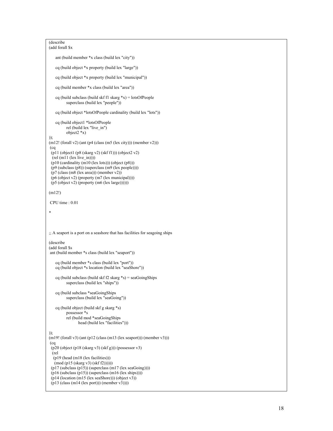```
(describe 
(add forall $x 
    ant (build member *x class (build lex "city")) 
    cq (build object *x property (build lex "large")) 
    cq (build object *x property (build lex "municipal")) 
    cq (build member *x class (build lex "area")) 
   cq (build subclass (build skf f1 skarg *x) = lotsOfPeople
           superclass (build lex "people")) 
    cq (build object *lotsOfPeople cardinality (build lex "lots")) 
    cq (build object1 *lotsOfPeople 
           rel (build lex "live_in") 
           object2 *x) 
)); 
(m12! (for all v2) (ant (p4 (class (m5 (lex city))) (member v2))) (cq 
 (p11 (object1 (p8 (skarg v2) (skf f1))) (object2 v2) 
 (\text{rel (m11 (lex live_in))))(p10 (cardinality (m10 (lex lots))) (object (p8)))
 (p9 (subclass (p8)) (superclass (m9 (lex people)))) 
 (p7 (class (m8 (lex area))) (member v2)) 
 (p6 (object v2) (property (m7 (lex municipal)))) 
(p5 (object v2) (property (m6 (lex large))))))(m12!) 
 CPU time : 0.01 
* 
;; A seaport is a port on a seashore that has facilities for seagoing ships 
(describe 
(add forall $s 
 ant (build member *s class (build lex "seaport")) 
    cq (build member *s class (build lex "port")) 
    cq (build object *s location (build lex "seaShore")) 
   cq (build subclass (build skf f2 skarg *s) = seaGoingShips
           superclass (build lex "ships")) 
    cq (build subclass *seaGoingShips 
          superclass (build lex "seaGoing"))
    cq (build object (build skf g skarg *s) 
           possessor *s 
           rel (build mod *seaGoingShips 
                  head (build lex "facilities"))) 
)); 
(m19! (for all v3) (ant (p12 (class (m13 (lex seaport))) (member v3))) (cq 
(p20 (object (p18 (skarg v3) (kf g))) (possessor v3)
  (rel 
   (p19 (head (m18 (lex facilities))) 
    (mod (p15 (skarg v3) (skf f2)))))) 
 (p17 (subclass (p15)) (superclass (m17 (lex sea\text{Going}))))
 (p16 (subclass (p15)) (superclass (m16 (lex ships))))
  (p14 (location (m15 (lex seaShore))) (object v3)) 
  (p13 (class (m14 (lex port))) (member v3))))
```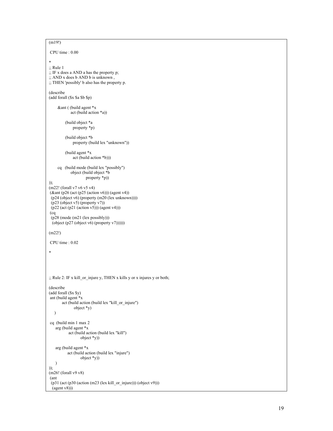```
(m19!) 
 CPU time : 0.00 
* 
;; Rule 1 
\ldots IF x does a AND a has the property p;
;; AND x does b AND b is unknown , 
;; THEN 'possibly' b also has the property p. 
(describe 
(add forall ($x $a $b $p) 
      &ant ( (build agent *x 
              act (build action *a)) 
          (build object *a 
               property *p) 
          (build object *b 
               property (build lex "unknown")) 
          (build agent *x 
               act (build action *b))) 
      cq (build mode (build lex "possibly") 
              object (build object *b 
                       property *p)) 
)); 
(m22! (forall v7 v6 v5 v4)
 (&ant (p26 (act (p25 (action v6))) (agent v4)) 
  (p24 (object v6) (property (m20 (lex unknown)))) 
  (p23 (object v5) (property v7)) 
 (p22 (act (p21 (action v5))) (agent v4))) (cq 
  (p28 (mode (m21 (lex possibly))) 
 (object (p27 (object v6) (property v7))))))(m22!) 
 CPU time : 0.02 
* 
;; Rule 2: IF x kill_or_injure y, THEN x kills y or x injures y or both; 
(describe 
(add forall ($x $y) 
 ant (build agent *x 
        act (build action (build lex "kill_or_injure") 
                object *y) 
    ) 
 cq (build min 1 max 2 
    arg (build agent *x 
            act (build action (build lex "kill") 
                    object *y)) 
    arg (build agent *x 
            act (build action (build lex "injure") 
                    object *y)) 
    ) 
)); 
(m26! (forall v9 v8)
 (ant 
  (p31 (act (p30 (action (m23 (lex kill_or_injure))) (object v9))) 
 (agent v8))
```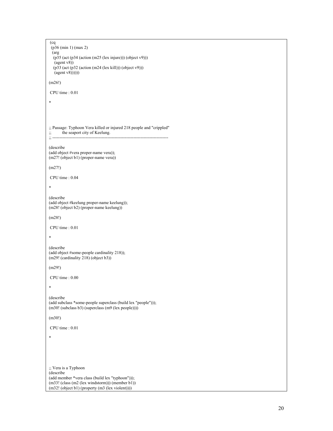```
 (cq 
  (p36 (min 1) (max 2) 
  (arg 
  (p35 (act (p34 (action (m25 (lex injure))) (object v9)))
   (agent v8)) 
   (p33 (act (p32 (action (m24 (lex kill))) (object v9))) 
  \text{(agent v8)}))))(m26!) 
 CPU time : 0.01 
* 
;; Passage: Typhoon Vera killed or injured 218 people and "crippled" 
;; the seaport city of Keelung. 
;; -------------------------------------------------------------------------------- 
(describe 
(add object #vera proper-name vera)); 
(m27! (object b1) (proper-name vera)) 
(m27!) 
 CPU time : 0.04 
* 
(describe 
(add object #keelung proper-name keelung)); 
(m28! (object b2) (proper-name keelung)) 
(m28!) 
 CPU time : 0.01 
* 
(describe 
(add object #some-people cardinality 218)); 
(m29! (cardinality 218) (object b3))
(m29!) 
 CPU time : 0.00 
* 
(describe 
(add subclass *some-people superclass (build lex "people"))); 
(m30! (subclass b3) (superclass (m9 (lex people)))) 
(m30!) 
 CPU time : 0.01 
* 
;; Vera is a Typhoon 
(describe 
(add member *vera class (build lex "typhoon"))); 
(m33! (class (m2 (lex windstorm))) (member b1)) 
(m32! (object b1) (property (m3 (lex violent))))
```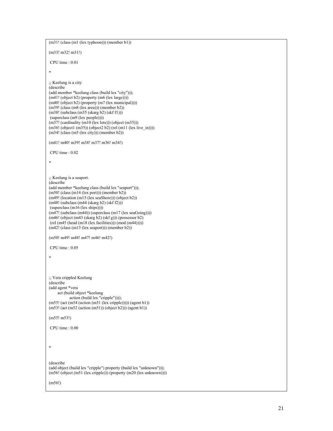```
(m31! (class (m1 (lex typhoon))) (member b1)) 
(m33! m32! m31!) 
 CPU time : 0.01 
* 
;; Keelung is a city 
(describe 
(add member *keelung class (build lex "city"))); 
(m41! (object b2) (property (m6 (lex large)))) 
(m40! (object b2) (property (m7 (lex municipal)))) 
(m39! (class (m8 (lex area))) (member b2)) 
(m38! (subclass (m35 (skarg b2) (skf f1)))
 (superclass (m9 (lex people)))) 
(m37! (cardinality (m10 (lex lots))) (object (m35)))
(m36! (object1 (m35)) (object2 b2) (rel (m11 (lex live_in)))) 
(m34! \text{ (class } (m5 \text{ (lex city)})) \text{ (member b2)})(m41! m40! m39! m38! m37! m36! m34!) 
 CPU time : 0.02 
* 
;; Keelung is a seaport. 
(describe 
(add member *keelung class (build lex "seaport"))); 
(m50! (class (m14 (lex port))) (member b2))
(m49! \text{ (location (m15 (lex seashore)))} (object b2))(m48! (subclass (m44 (skarg b2) (skf f2))) 
(superclass (m16 (lex ships))))(m47! (subclass (m44)) (superclass (m17 (lex seaGoing)))) 
(m46! (object (m43 (skarg b2) (skf g))) (possessor b2) 
(\text{rel}(\text{m}45 \text{ (head }(\text{m}18 \text{ (lex facilities)}))) (\text{mod }(\text{m}44))))))(m42! (class (m13 (lex seaport))) (member b2)) 
(m50! m49! m48! m47! m46! m42!) 
 CPU time : 0.05 
* 
;; Vera crippled Keelung 
(describe 
(add agent *vera 
     act (build object *keelung 
             action (build lex "cripple")))); 
(m55! (act (m54 (action (m51 (lex cripple))))) (agent b1)) 
(m53! (act (m52 (action (m51)) (object b2))) (agent b1)) 
(m55! m53!) 
 CPU time : 0.00 
* 
(describe 
(add object (build lex "cripple") property (build lex "unknown"))); 
(m56! (object (m51 (lex cripple))) (property (m20 (lex unknown)))) 
(m56!)
```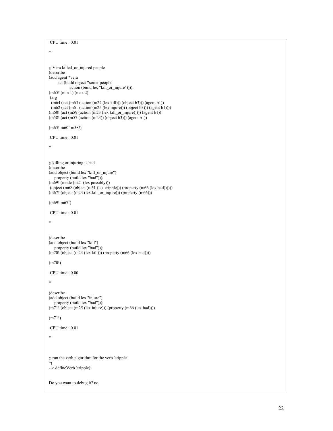```
 CPU time : 0.01 
* 
;; Vera killed_or_injured people 
(describe 
(add agent *vera 
      act (build object *some-people 
            action (build lex "kill_or_injure")))); 
(m65! (min 1) (max 2) 
 (arg 
(m64 (act (m63 (action (m24 (lex kill))) (object b3))) (agent b1))
(m62 (act (m61 (action (m25 (lex injure)))) (object b3))) (agent b1))))(m60! (act (m59 (action (m23 (lex kill_or_injure))))) (agent b1)) 
(m58! (act (m57 (action (m23))) (object b3))) (agent b1))
(m65! m60! m58!) 
 CPU time : 0.01 
* 
;; killing or injuring is bad 
(describe 
(add object (build lex "kill_or_injure") 
 property (build lex "bad"))); 
(m69! (mode (m21 (lex possibly))) 
(object (m68 (object (m51 (lex cripple))) (property (m66 (lex bad))))))
(m67! (object (m23 (lex kill_or_injure))) (property (m66))) 
(m69! m67!) 
 CPU time : 0.01 
* 
(describe 
(add object (build lex "kill") 
  property (build lex "bad")));
(m70! (object (m24 (lex kill))) (property (m66 (lex bad)))) 
(m70!) 
 CPU time : 0.00 
* 
(describe 
(add object (build lex "injure") 
   property (build lex "bad"))); 
(m71! (object (m25 (lex injure))) (property (m66 (lex bad)))) 
(m71!) 
 CPU time : 0.01 
* 
;; run the verb algorithm for the verb 'cripple' 
\gamma--> defineVerb 'cripple);
Do you want to debug it? no
```